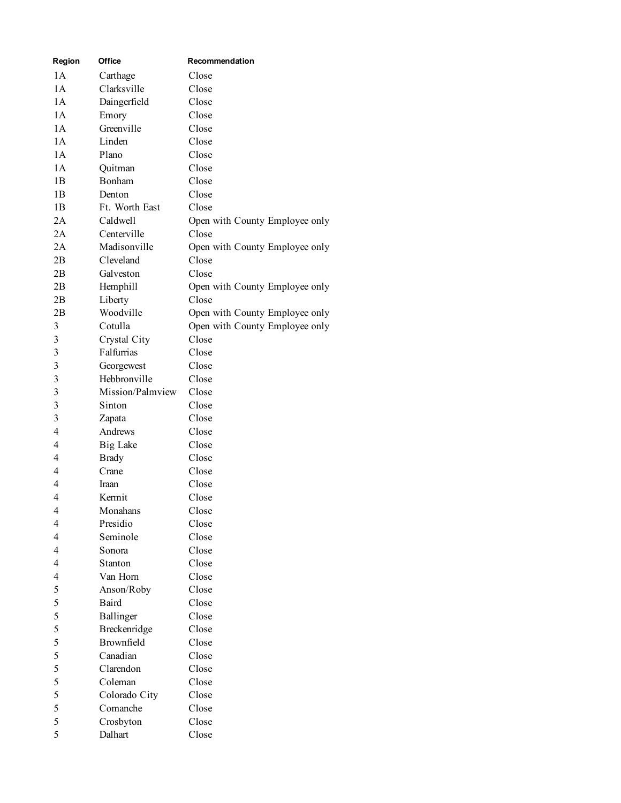| Region                  | Office           | Recommendation                 |
|-------------------------|------------------|--------------------------------|
| 1A                      | Carthage         | Close                          |
| 1A                      | Clarksville      | Close                          |
| 1A                      | Daingerfield     | Close                          |
| 1A                      | Emory            | Close                          |
| 1A                      | Greenville       | Close                          |
| 1A                      | Linden           | Close                          |
| 1A                      | Plano            | Close                          |
| 1A                      | Quitman          | Close                          |
| 1B                      | Bonham           | Close                          |
| 1B                      | Denton           | Close                          |
| 1B                      | Ft. Worth East   | Close                          |
| 2A                      | Caldwell         | Open with County Employee only |
| 2A                      | Centerville      | Close                          |
| 2A                      | Madisonville     | Open with County Employee only |
| 2B                      | Cleveland        | Close                          |
| 2B                      | Galveston        | Close                          |
| 2B                      | Hemphill         | Open with County Employee only |
| 2B                      | Liberty          | Close                          |
| 2B                      | Woodville        | Open with County Employee only |
| 3                       | Cotulla          | Open with County Employee only |
| $\mathfrak{Z}$          | Crystal City     | Close                          |
| $\mathfrak{Z}$          | Falfurrias       | Close                          |
| $\overline{\mathbf{3}}$ | Georgewest       | Close                          |
| $\overline{\mathbf{3}}$ | Hebbronville     | Close                          |
| $\overline{\mathbf{3}}$ | Mission/Palmview | Close                          |
| $\overline{3}$          | Sinton           | Close                          |
| $\mathfrak{Z}$          | Zapata           | Close                          |
| $\overline{4}$          | Andrews          | Close                          |
| $\overline{4}$          | <b>Big Lake</b>  | Close                          |
| $\overline{4}$          | <b>Brady</b>     | Close                          |
| $\overline{4}$          | Crane            | Close                          |
| $\overline{4}$          | <b>Iraan</b>     | Close                          |
| $\overline{4}$          | Kermit           | Close                          |
| Δ                       | Monahans         | Close                          |
| $\overline{4}$          | Presidio         | Close                          |
| $\overline{4}$          | Seminole         | Close                          |
| $\overline{4}$          | Sonora           | Close                          |
| $\overline{4}$          | Stanton          | Close                          |
| $\overline{4}$          | Van Horn         | Close                          |
| 5                       | Anson/Roby       | Close                          |
| 5                       | <b>Baird</b>     | Close                          |
| 5                       | <b>Ballinger</b> | Close                          |
| 5                       | Breckenridge     | Close                          |
| 5                       | Brownfield       | Close                          |
| 5                       | Canadian         | Close                          |
| 5                       | Clarendon        | Close                          |
| 5                       | Coleman          | Close                          |
| 5                       | Colorado City    | Close                          |
| 5                       | Comanche         | Close                          |
| 5                       | Crosbyton        | Close                          |
| 5                       | Dalhart          | Close                          |
|                         |                  |                                |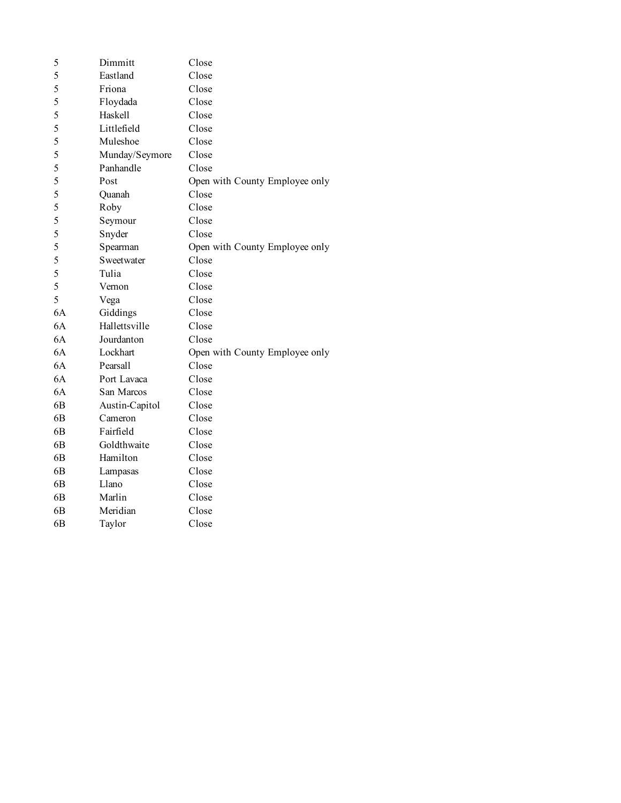| 5              | Dimmitt        | Close                          |
|----------------|----------------|--------------------------------|
| 5              | Eastland       | Close                          |
| 5              | Friona         | Close                          |
| 5              | Floydada       | Close                          |
| 5              | Haskell        | Close                          |
| 5              | Littlefield    | Close                          |
| 5              | Muleshoe       | Close                          |
| 5              | Munday/Seymore | Close                          |
| 5              | Panhandle      | Close                          |
| 5              | Post           | Open with County Employee only |
| 5              | Quanah         | Close                          |
| 5              | Roby           | Close                          |
| 5              | Seymour        | Close                          |
| 5              | Snyder         | Close                          |
| 5              | Spearman       | Open with County Employee only |
| 5              | Sweetwater     | Close                          |
| 5              | Tulia          | Close                          |
| 5              | Vernon         | Close                          |
| 5              | Vega           | Close                          |
| 6A             | Giddings       | Close                          |
| 6A             | Hallettsville  | Close                          |
| 6A             | Jourdanton     | Close                          |
| 6A             | Lockhart       | Open with County Employee only |
| 6A             | Pearsall       | Close                          |
| 6A             | Port Lavaca    | Close                          |
| 6A             | San Marcos     | Close                          |
| 6 <sub>B</sub> | Austin-Capitol | Close                          |
| 6B             | Cameron        | Close                          |
| 6 <sub>B</sub> | Fairfield      | Close                          |
| 6 <sub>B</sub> | Goldthwaite    | Close                          |
| 6B             | Hamilton       | Close                          |
| 6 <sub>B</sub> | Lampasas       | Close                          |
| 6B             | Llano          | Close                          |
| 6 <sub>B</sub> | Marlin         | Close                          |
| 6 <sub>B</sub> | Meridian       | Close                          |
| 6B             | Taylor         | Close                          |
|                |                |                                |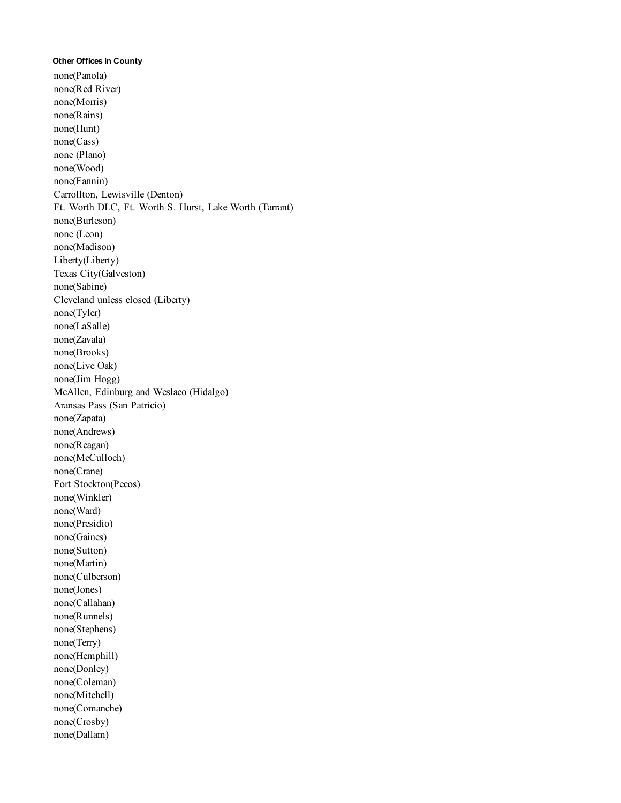## **Other Offices in County**

none(Panola) none(Red River) none(Morris) none(Rains) none(Hunt) none(Cass) none (Plano) none(Wood) none(Fannin) Carrollton, Lewisville (Denton) Ft. Worth DLC, Ft. Worth S. Hurst, Lake Worth (Tarrant) none(Burleson) none (Leon) none(Madison) Liberty(Liberty) Texas City(Galveston) none(Sabine) Cleveland unless closed (Liberty) none(Tyler) none(LaSalle) none(Zavala) none(Brooks) none(Live Oak) none(Jim Hogg) McAllen, Edinburg and Weslaco (Hidalgo) Aransas Pass (San Patricio) none(Zapata) none(Andrews) none(Reagan) none(McCulloch) none(Crane) Fort Stockton(Pecos) none(Winkler) none(Ward) none(Presidio) none(Gaines) none(Sutton) none(Martin) none(Culberson) none(Jones) none(Callahan) none(Runnels) none(Stephens) none(Terry) none(Hemphill) none(Donley) none(Coleman) none(Mitchell) none(Comanche) none(Crosby) none(Dallam)